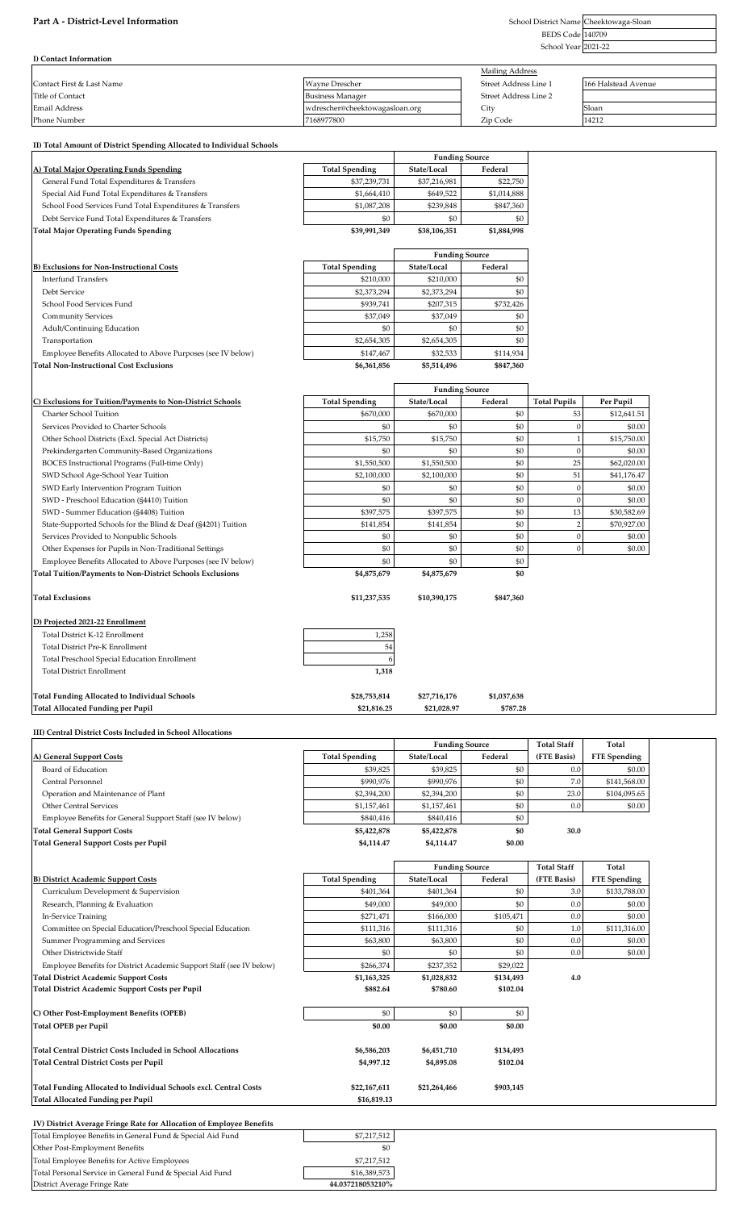### Part A - District-Level Information

BEDS Code 140709 School Year 2021-22 School District Name Cheektowaga-Sloan

| I) Contact Information    |                                |                        |                     |
|---------------------------|--------------------------------|------------------------|---------------------|
|                           |                                | <b>Mailing Address</b> |                     |
| Contact First & Last Name | <b>Wayne Drescher</b>          | Street Address Line 1  | 166 Halstead Avenue |
| Title of Contact          | <b>Business Manager</b>        | Street Address Line 2  |                     |
| Email Address             | wdrescher@cheektowagasloan.org | City                   | Sloan               |
| Phone Number              | 7168977800                     | Zip Code               | 14212               |

### **II) Total Amount of District Spending Allocated to Individual Schools**

## **A) Total Major Operating Funds Spending Total Spending State/Local Federal**

**B) Exclusions for Non-Instructional Costs** 

**Total Non-Instructional Cost Exclusions \$6,361,856 \$5,514,496 \$847,360**

| <b>Total Major Operating Funds Spending</b>              | \$39,991,349 | \$38,106,351 | \$1,884,998 |
|----------------------------------------------------------|--------------|--------------|-------------|
| Debt Service Fund Total Expenditures & Transfers         | \$0          | \$0          | \$0         |
| School Food Services Fund Total Expenditures & Transfers | \$1,087,208  | \$239.848    | \$847,360   |
| Special Aid Fund Total Expenditures & Transfers          | \$1,664,410  | \$649.522    | \$1,014,888 |
| General Fund Total Expenditures & Transfers              | \$37,239,731 | \$37,216,981 | \$22,750    |

|                                                              |                       | <b>Funding Source</b> |           |
|--------------------------------------------------------------|-----------------------|-----------------------|-----------|
| <b>Exclusions for Non-Instructional Costs</b>                | <b>Total Spending</b> | State/Local           | Federal   |
| Interfund Transfers                                          | \$210,000             | \$210,000             | \$0       |
| Debt Service                                                 | \$2,373,294           | \$2,373,294           | \$0       |
| School Food Services Fund                                    | \$939.741             | \$207,315             | \$732.426 |
| <b>Community Services</b>                                    | \$37,049              | \$37,049              | \$0       |
| <b>Adult/Continuing Education</b>                            | \$0                   | \$0                   | \$0       |
| Transportation                                               | \$2,654,305           | \$2,654,305           | \$0       |
| Employee Benefits Allocated to Above Purposes (see IV below) | \$147,467             | \$32,533              | \$114,934 |
| tal Non-Instructional Cost Exclusions                        | \$6,361,856           | \$5,514,496           | \$847.360 |

**Funding Source**<br>State/Local Fee

|                                                                  |                       | <b>Funding Source</b> |           |                     |             |
|------------------------------------------------------------------|-----------------------|-----------------------|-----------|---------------------|-------------|
| C) Exclusions for Tuition/Payments to Non-District Schools       | <b>Total Spending</b> | State/Local           | Federal   | <b>Total Pupils</b> | Per Pupil   |
| Charter School Tuition                                           | \$670,000             | \$670,000             | \$0       | 53                  | \$12,641.51 |
| Services Provided to Charter Schools                             | \$0                   | \$0                   | \$0       | $\Omega$            | \$0.00      |
| Other School Districts (Excl. Special Act Districts)             | \$15,750              | \$15,750              | \$0       |                     | \$15,750.00 |
| Prekindergarten Community-Based Organizations                    | \$0                   | \$0                   | \$0       | $\Omega$            | \$0.00      |
| BOCES Instructional Programs (Full-time Only)                    | \$1,550,500           | \$1,550,500           | \$0       | 25                  | \$62,020.00 |
| SWD School Age-School Year Tuition                               | \$2,100,000           | \$2,100,000           | \$0       | 51                  | \$41,176.47 |
| SWD Early Intervention Program Tuition                           | \$0                   | \$0                   | \$0       |                     | \$0.00      |
| SWD - Preschool Education (§4410) Tuition                        | \$0                   | \$0                   | \$0       | $\Omega$            | \$0.00      |
| SWD - Summer Education (§4408) Tuition                           | \$397,575             | \$397,575             | \$0       | 13                  | \$30,582.69 |
| State-Supported Schools for the Blind & Deaf (§4201) Tuition     | \$141,854             | \$141,854             | \$0       | $\overline{2}$      | \$70,927.00 |
| Services Provided to Nonpublic Schools                           | \$0                   | \$0                   | \$0       | $\Omega$            | \$0.00      |
| Other Expenses for Pupils in Non-Traditional Settings            | \$0                   | \$0                   | \$0       | $\Omega$            | \$0.00      |
| Employee Benefits Allocated to Above Purposes (see IV below)     | \$0                   | \$0                   | \$0       |                     |             |
| <b>Total Tuition/Payments to Non-District Schools Exclusions</b> | \$4,875,679           | \$4,875,679           | \$0       |                     |             |
| <b>Total Exclusions</b>                                          | \$11,237,535          | \$10,390,175          | \$847,360 |                     |             |
| D) Projected 2021-22 Enrollment                                  |                       |                       |           |                     |             |
| Total District K-12 Enrollment                                   | 1,258                 |                       |           |                     |             |
| <b>Total District Pre-K Enrollment</b>                           | 54                    |                       |           |                     |             |
| Total Preschool Special Education Enrollment                     | 6                     |                       |           |                     |             |

### **Total Funding Allocated to Individual Schools \$28,753,814 \$27,716,176 \$1,037,638 Total Allocated Funding per Pupil \$21,816.25 \$21,028.97 \$787.28**

Total District Enrollment **1,318**

District Average Fringe Rate **44.037218053210%**

|                       | <b>Funding Source</b> |           | <b>Total Staff</b>    | Total               |
|-----------------------|-----------------------|-----------|-----------------------|---------------------|
| <b>Total Spending</b> | State/Local           | Federal   | (FTE Basis)           | <b>FTE</b> Spending |
| \$39,825              | \$39,825              | \$0       | 0.0                   | \$0.00              |
| \$990,976             | \$990,976             | \$0       | 7.0                   | \$141,568.00        |
| \$2,394,200           | \$2,394,200           | \$0       | 23.0                  | \$104,095.65        |
| \$1,157,461           | \$1,157,461           | \$0       | 0.0                   | \$0.00              |
| \$840,416             | \$840,416             | \$0       |                       |                     |
| \$5,422,878           | \$5,422,878           | \$0       | 30.0                  |                     |
| \$4,114.47            | \$4,114.47            | \$0.00    |                       |                     |
|                       |                       |           | <b>Total Staff</b>    | Total               |
| <b>Total Spending</b> | State/Local           | Federal   | (FTE Basis)           | <b>FTE</b> Spending |
| \$401,364             | \$401,364             | \$0       | 3.0                   | \$133,788.00        |
| \$49,000              | \$49,000              | \$0       | 0.0                   | \$0.00              |
| \$271,471             | \$166,000             | \$105,471 | 0.0                   | \$0.00              |
| \$111,316             | \$111,316             | \$0       | 1.0                   | \$111,316.00        |
| \$63,800              | \$63,800              | \$0       | 0.0                   | \$0.00              |
| \$0                   | \$0                   | \$0       | 0.0                   | \$0.00              |
| \$266,374             | \$237,352             | \$29,022  |                       |                     |
| \$1,163,325           | \$1,028,832           | \$134,493 | 4.0                   |                     |
| \$882.64              | \$780.60              | \$102.04  |                       |                     |
| \$0                   | \$0                   | \$0       |                       |                     |
| \$0.00                | \$0.00                | \$0.00    |                       |                     |
| \$6,586,203           | \$6,451,710           | \$134,493 |                       |                     |
| \$4,997.12            | \$4,895.08            | \$102.04  |                       |                     |
| \$22,167,611          | \$21,264,466          | \$903,145 |                       |                     |
| \$16,819.13           |                       |           |                       |                     |
|                       |                       |           | <b>Funding Source</b> |                     |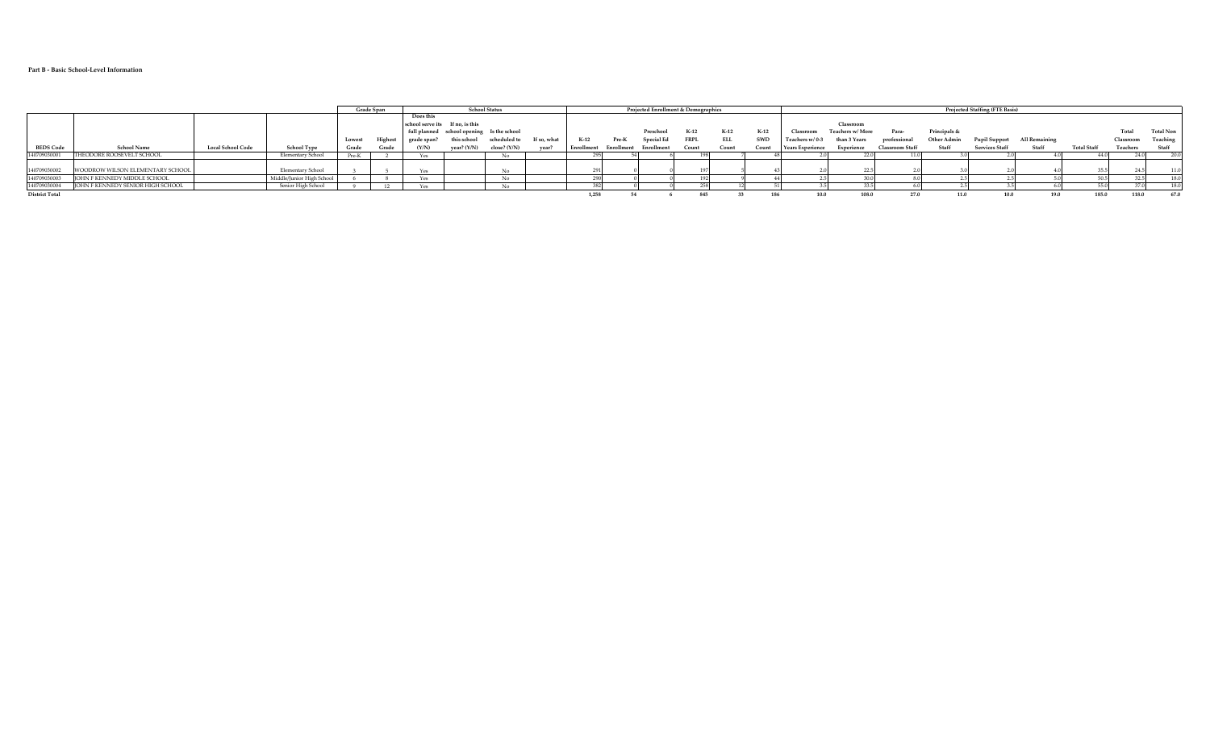#### **Part B - Basic School-Level Information**

|                       |                                   |                          |                           |        | Grade Span |                                 |               | <b>School Status</b>                      |             |            |            |            | Projected Enrollment & Demographics |            |        | Projected Staffing (FTE Basis) |                  |                 |              |                       |               |                    |           |           |
|-----------------------|-----------------------------------|--------------------------|---------------------------|--------|------------|---------------------------------|---------------|-------------------------------------------|-------------|------------|------------|------------|-------------------------------------|------------|--------|--------------------------------|------------------|-----------------|--------------|-----------------------|---------------|--------------------|-----------|-----------|
|                       |                                   |                          |                           |        |            | <b>Does this</b>                |               |                                           |             |            |            |            |                                     |            |        |                                |                  |                 |              |                       |               |                    |           |           |
|                       |                                   |                          |                           |        |            | school serve its If no, is this |               |                                           |             |            |            |            |                                     |            |        |                                | Classroom        |                 |              |                       |               |                    |           |           |
|                       |                                   |                          |                           |        |            |                                 |               | full planned school opening Is the school |             |            |            | Preschool  | $K-12$                              | $K-12$     | $K-12$ | Classroot                      | Teachers w/ More | Para-           | Principals & |                       |               |                    | Total     | Total Non |
|                       |                                   |                          |                           | Lowest | Highest    | grade span?                     | this school   | scheduled to                              | If so, what | K-12       | Pre-K      | Special Ed | <b>FRPL</b>                         | <b>ELL</b> | SWD    | Teachers w/0-3                 | than 3 Years     | professional    | Other Admin  | <b>Pupil Support</b>  | All Remaining |                    | Classroom | Teaching  |
| <b>BEDS Code</b>      | <b>School Name</b>                | <b>Local School Code</b> | School Type               | Grade  | Grade      | (Y/N)                           | year? $(Y/N)$ | close? $(Y/N)$                            | vear        | Enrollment | Enrollment | Enrollment | Count                               | Count      | Count  | <b>Years Experience</b>        | Experience       | Classroom Staff | Staff        | <b>Services Staff</b> | Staff         | <b>Total Staff</b> | Teachers  | Staff     |
| 140709030001          | THEODORE ROOSEVELT SCHOOL         |                          | Elementary School         | Pre-K  |            |                                 |               |                                           |             |            |            |            |                                     |            |        |                                |                  |                 |              |                       |               |                    |           | 20.0      |
|                       |                                   |                          |                           |        |            |                                 |               |                                           |             |            |            |            |                                     |            |        |                                |                  |                 |              |                       |               |                    |           |           |
| 140709030002          | WOODROW WILSON ELEMENTARY SCHOOL  |                          | Elementary School         |        |            |                                 |               |                                           |             |            |            |            |                                     |            |        |                                |                  |                 |              |                       |               |                    |           | 11.0      |
| 140709030003          | IOHN F KENNEDY MIDDLE SCHOOL      |                          | Middle/Junior High School |        |            |                                 |               |                                           |             |            |            |            |                                     |            |        |                                |                  |                 |              |                       |               |                    |           | 18.0      |
| 140709030004          | JOHN F KENNEDY SENIOR HIGH SCHOOL |                          | Senior High School        |        | 12         |                                 |               |                                           |             |            |            |            |                                     |            |        |                                |                  |                 |              |                       |               |                    |           | 18.0      |
| <b>District Total</b> |                                   |                          |                           |        |            |                                 |               |                                           |             | 1,258      |            |            |                                     |            |        | 10.0                           | 108.0            |                 | 11.0         | 10.0                  | 19.0          | 185.0              | 118.0     | 67.0      |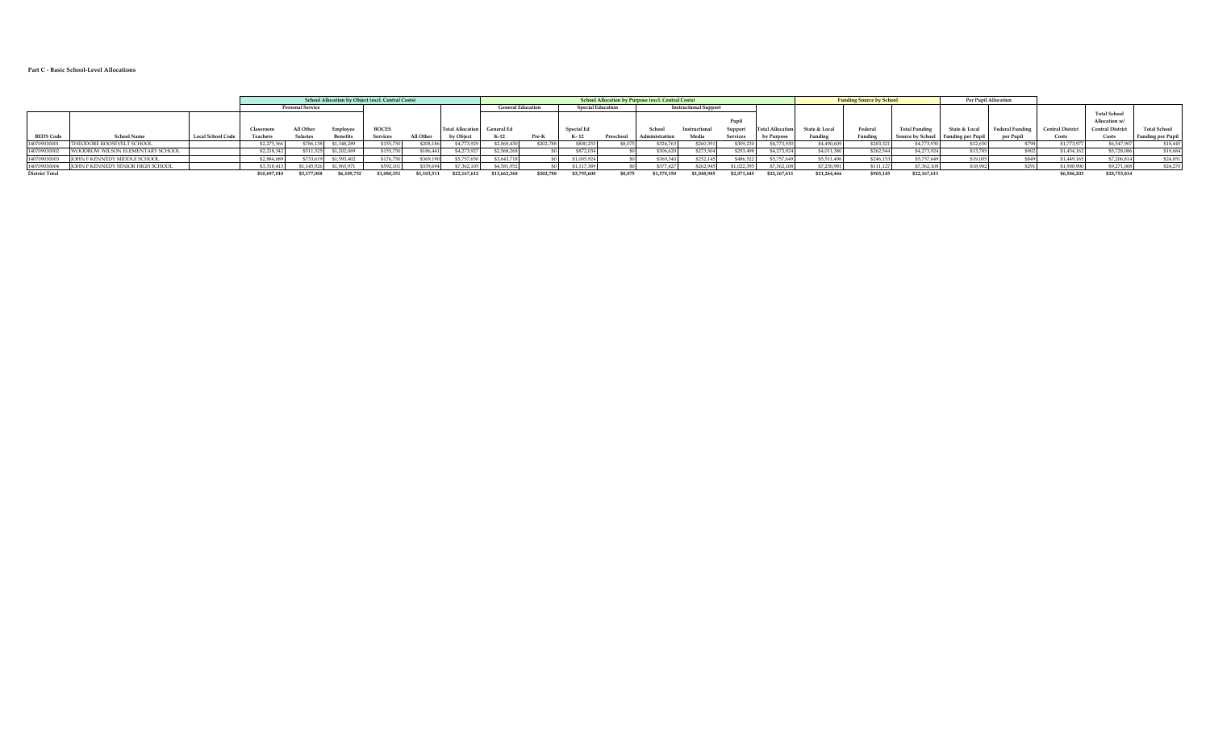#### **Part C - Basic School-Level Allocations**

|                       |                                          |                          |              |                         | <b>School Allocation by Object (excl. Central Costs)</b> |              |            |                         | <b>School Allocation by Purpose (excl. Central Costs)</b> |           |                          |         |             |                              |             | <b>Funding Source by School</b> |               | <b>Per Pupil Allocation</b> |                                    |              |                 |                 |                        |                          |
|-----------------------|------------------------------------------|--------------------------|--------------|-------------------------|----------------------------------------------------------|--------------|------------|-------------------------|-----------------------------------------------------------|-----------|--------------------------|---------|-------------|------------------------------|-------------|---------------------------------|---------------|-----------------------------|------------------------------------|--------------|-----------------|-----------------|------------------------|--------------------------|
|                       |                                          |                          |              | <b>Personal Service</b> |                                                          |              |            |                         | <b>General Education</b>                                  |           | <b>Special Education</b> |         |             | <b>Instructional Support</b> |             |                                 |               |                             |                                    |              |                 |                 |                        |                          |
|                       |                                          |                          |              |                         |                                                          |              |            |                         |                                                           |           |                          |         |             |                              |             |                                 |               |                             |                                    |              |                 |                 | <b>Total School</b>    |                          |
|                       |                                          |                          |              |                         |                                                          |              |            |                         |                                                           |           |                          |         |             |                              |             |                                 |               |                             |                                    |              |                 |                 | Allocation w/          |                          |
|                       |                                          |                          | Classroor    | All Oth                 | Employer                                                 | <b>BOCES</b> |            | <b>Total Allocation</b> | <b>General Ed</b>                                         |           | Special Ed               |         | School      | Instructional                |             | Total Allocation                | State & Local | Federal                     | <b>Total Funding</b>               | State & Loca | Federal Funding | Central Distric | <b>Central Distric</b> | <b>Total School</b>      |
| <b>BEDS Code</b>      | <b>School Name</b>                       | <b>Local School Code</b> | Teachers     | <b>Salaries</b>         | <b>Benefits</b>                                          | Services     | All Other  | by Obiect               | $K-12$                                                    | Pre-K     |                          | Prescho |             | Media                        | Services    | by Purpose                      | Funding       | Funding                     | Source by School Funding per Pupil |              | per Pupil       |                 | Costs                  | <b>Funding per Pupil</b> |
| 40709030001           | THEODORE ROOSEVELT SCHOOL                |                          | \$2,275,566  | \$786,138               | \$1,348,289                                              | \$155,750    | \$208.186  | \$4,773.92              | \$2,868,430                                               | \$202,788 | \$800,253                | \$8,075 | \$324,763   | \$260.39                     | \$309,230   | \$4,773,930                     | \$4,490,609   | \$283,321                   | \$4,773,930                        | \$12,650     | 6701            | \$1,773,977     | \$6,547.907            | \$18,445                 |
| 40709030002           | WOODROW WILSON ELEMENTARY SCHOOL         |                          | \$2,218,34   | \$511,325               | \$1,202,069                                              | \$155,750    | \$186,441  | \$4,273,92              | \$2,568,268                                               |           | \$872.u                  |         | \$306,620   | \$273,50                     | \$253,498   | \$4,273,924                     | \$4,011,380   | \$262.544                   | \$4,273,924                        | \$13.785     |                 | \$1,454,162     | \$5,728,08             | \$19,684                 |
| 40709030003           | <b>IOHN F KENNEDY MIDDLE SCHOOL</b>      |                          | \$2,884.68   | \$733.619               | \$1,593,402                                              | \$176,750    | \$369.19   | \$5,757,65              | \$3,643,718                                               |           | \$1,005.924              |         | \$369,340   | \$252.145                    | \$486,522   | \$5,757,649                     | \$5,511.496   | \$246.153                   | \$5,757,649                        | \$19,005     |                 | \$1,449.165     | \$7,206,81             | \$24,851                 |
| 40709030004           | <b>IOHN F KENNEDY SENIOR HIGH SCHOOL</b> |                          | \$3,318.41   | \$1.145.926             | \$1,965.971                                              | \$592,101    | \$339,694  | \$7,362.10              | \$4,581.95                                                |           |                          |         | \$377.427   | \$262.94                     | \$1,022,395 | \$7,362,108                     | \$7,250.98    | \$111.127                   | \$7,362,108                        | \$18,982     | \$29            | \$1,908,900     | \$9,271,00             | \$24,270                 |
| <b>District Total</b> |                                          |                          | \$10,697,010 | \$3,177,00              | \$6,109,7                                                | \$1,080.3    | \$1.103.51 | \$22,167.613            | \$13,662,368                                              | \$202,788 | \$3,795,600              | \$8,07  | \$1,378,150 | \$1,048.98                   | \$2,071,645 | \$22,167,611                    | \$21,264,466  | \$903,145                   | \$22,167,611                       |              |                 | \$6,586,203     | \$28,753,81            |                          |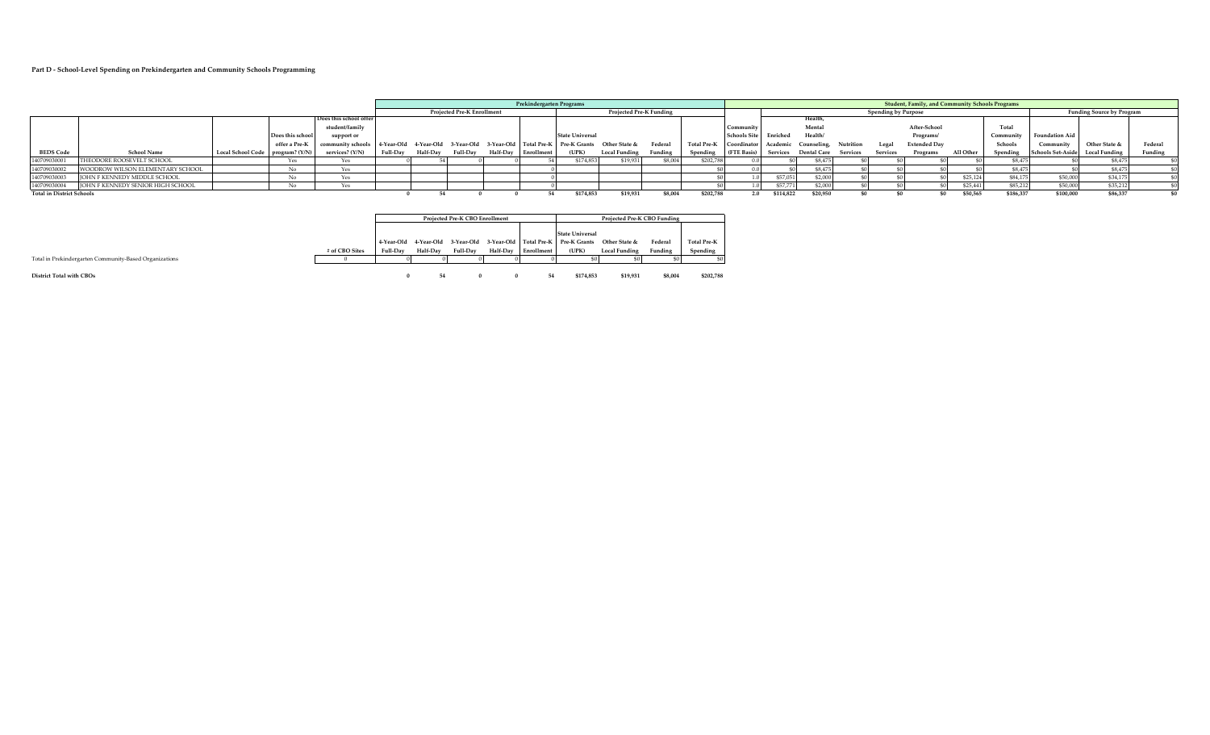#### **Part D - School-Level Spending on Prekindergarten and Community Schools Programming**

|                                  |                                     |                                  |                 |                        |                 |                         |                                   | Prekindergarten Programs |                                                |                         |         |                                                  |                     |           |                    |           |                            | Student, Family, and Community Schools Programs |           |                |                                  |                      |         |
|----------------------------------|-------------------------------------|----------------------------------|-----------------|------------------------|-----------------|-------------------------|-----------------------------------|--------------------------|------------------------------------------------|-------------------------|---------|--------------------------------------------------|---------------------|-----------|--------------------|-----------|----------------------------|-------------------------------------------------|-----------|----------------|----------------------------------|----------------------|---------|
|                                  |                                     |                                  |                 |                        |                 |                         | <b>Projected Pre-K Enrollment</b> |                          |                                                | Projected Pre-K Funding |         |                                                  |                     |           |                    |           | <b>Spending by Purpose</b> |                                                 |           |                | <b>Funding Source by Program</b> |                      |         |
|                                  |                                     |                                  |                 | Does this school offer |                 |                         |                                   |                          |                                                |                         |         |                                                  |                     |           | Health             |           |                            |                                                 |           |                |                                  |                      |         |
|                                  |                                     |                                  |                 | student/family         |                 |                         |                                   |                          |                                                |                         |         |                                                  | Communit            |           | Mental             |           |                            | After-School                                    |           | Total          |                                  |                      |         |
|                                  |                                     |                                  | Does this schoo | support or             |                 |                         |                                   |                          | <b>State Universal</b>                         |                         |         |                                                  | <b>Schools Site</b> | Enriched  | Health/            |           |                            | Programs/                                       |           | Community      | <b>Foundation Aid</b>            |                      |         |
|                                  |                                     |                                  | offer a Pre-K   | community schools      |                 | 4-Year-Old 4-Year-Old + |                                   |                          | 3-Year-Old 3-Year-Old Total Pre-K Pre-K Grants | Other State &           | Federal | Total Pre-K   Coordinator   Academic Counseling, |                     |           |                    | Nutrition | Legal                      | <b>Extended Day</b>                             |           | <b>Schools</b> | Community                        | Other State &        | Federal |
| <b>BEDS Code</b>                 | <b>School Name</b>                  | Local School Code program? (Y/N' |                 | services? (Y/N)        | <b>Full-Day</b> | <b>Half-Day</b>         | Full-Day                          | Half-Day Enrollment      | (UPK)                                          | Local Funding           | Funding | Spending                                         | (FTE Basis)         | Services  | <b>Dental Care</b> | Services  | Services                   | Programs                                        | All Other | Spending       | <b>Schools Set-Aside</b>         | <b>Local Funding</b> | Funding |
| 140709030001                     | THEODORE ROOSEVELT SCHOOL           |                                  |                 | Yes                    |                 |                         |                                   |                          | \$174.853                                      | \$19,93                 | \$8,004 | \$202,78                                         |                     |           | \$8,475            |           |                            |                                                 |           | \$8,475        |                                  | \$8,475              |         |
| 140709030002                     | WOODROW WILSON ELEMENTARY SCHOOL    |                                  |                 |                        |                 |                         |                                   |                          |                                                |                         |         |                                                  |                     |           | \$8,475            |           |                            |                                                 |           | \$8,475        |                                  | \$8,475              |         |
| 140709030003                     | <b>IOHN F KENNEDY MIDDLE SCHOOL</b> |                                  |                 | Yes                    |                 |                         |                                   |                          |                                                |                         |         |                                                  |                     | \$57.051  | \$2,000            |           |                            |                                                 | \$25,12   | \$84,175       | \$50,00                          | \$34,17              |         |
| 140709030004                     | IOHN F KENNEDY SENIOR HIGH SCHOOL   |                                  |                 |                        |                 |                         |                                   |                          |                                                |                         |         |                                                  |                     | \$57,771  | \$2,000            |           |                            |                                                 | \$25.441  | \$85,212       | \$50,000                         | \$35,212             |         |
| <b>Total in District Schools</b> |                                     |                                  |                 |                        |                 |                         |                                   |                          | \$174,853                                      | \$19,931                | \$8,004 | \$202,788                                        | 2.0                 | \$114,822 | \$20,950           |           |                            | ¢۵                                              | \$50,565  | \$186,337      | \$100,000                        | \$86,337             |         |

|                                                        |                |          |          | Projected Pre-K CBO Enrollment |          |                   |                                                                      |                      |               |                    |
|--------------------------------------------------------|----------------|----------|----------|--------------------------------|----------|-------------------|----------------------------------------------------------------------|----------------------|---------------|--------------------|
|                                                        |                |          |          |                                |          |                   |                                                                      |                      |               |                    |
|                                                        |                |          |          |                                |          |                   | <b>State Universal</b>                                               |                      |               |                    |
|                                                        |                |          |          |                                |          |                   | 4-Year-Old 4-Year-Old 3-Year-Old 3-Year-Old Total Pre-K Pre-K Grants | Other State &        | <b>Federa</b> | <b>Total Pre-K</b> |
|                                                        | # of CBO Sites | Full-Day | Half-Day | Full-Day                       | Half-Day | <b>Enrollment</b> | (UPK)                                                                | <b>Local Funding</b> | Funding       | Spending           |
| Total in Prekindergarten Community-Based Organizations |                |          |          |                                |          |                   |                                                                      |                      |               | \$0                |
|                                                        |                |          |          |                                |          |                   |                                                                      |                      |               |                    |

**District Total with CBOs 0 54 0 0 54 \$174,853 \$19,931 \$8,004 \$202,788**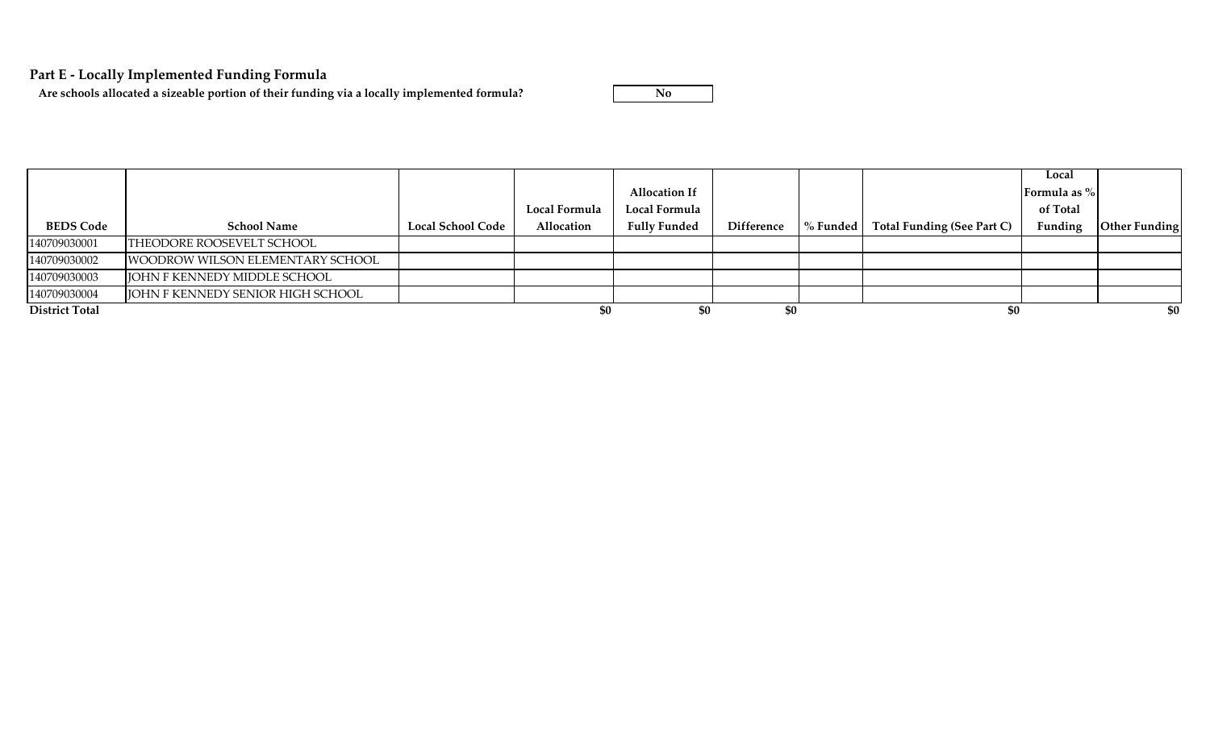# **Part E - Locally Implemented Funding Formula**

Are schools allocated a sizeable portion of their funding via a locally implemented formula?

|                       |                                     |                          |                      |                      |                   |          |                            | Local        |               |
|-----------------------|-------------------------------------|--------------------------|----------------------|----------------------|-------------------|----------|----------------------------|--------------|---------------|
|                       |                                     |                          |                      | <b>Allocation If</b> |                   |          |                            | Formula as % |               |
|                       |                                     |                          | <b>Local Formula</b> | Local Formula        |                   |          |                            | of Total     |               |
| <b>BEDS Code</b>      | <b>School Name</b>                  | <b>Local School Code</b> | Allocation           | <b>Fully Funded</b>  | <b>Difference</b> | % Funded | Total Funding (See Part C) | Funding      | Other Funding |
| 140709030001          | THEODORE ROOSEVELT SCHOOL           |                          |                      |                      |                   |          |                            |              |               |
| 140709030002          | WOODROW WILSON ELEMENTARY SCHOOL    |                          |                      |                      |                   |          |                            |              |               |
| 140709030003          | <b>JOHN F KENNEDY MIDDLE SCHOOL</b> |                          |                      |                      |                   |          |                            |              |               |
| 140709030004          | JOHN F KENNEDY SENIOR HIGH SCHOOL   |                          |                      |                      |                   |          |                            |              |               |
| <b>District Total</b> |                                     |                          |                      | \$0                  | \$0               |          | \$0                        |              | \$0           |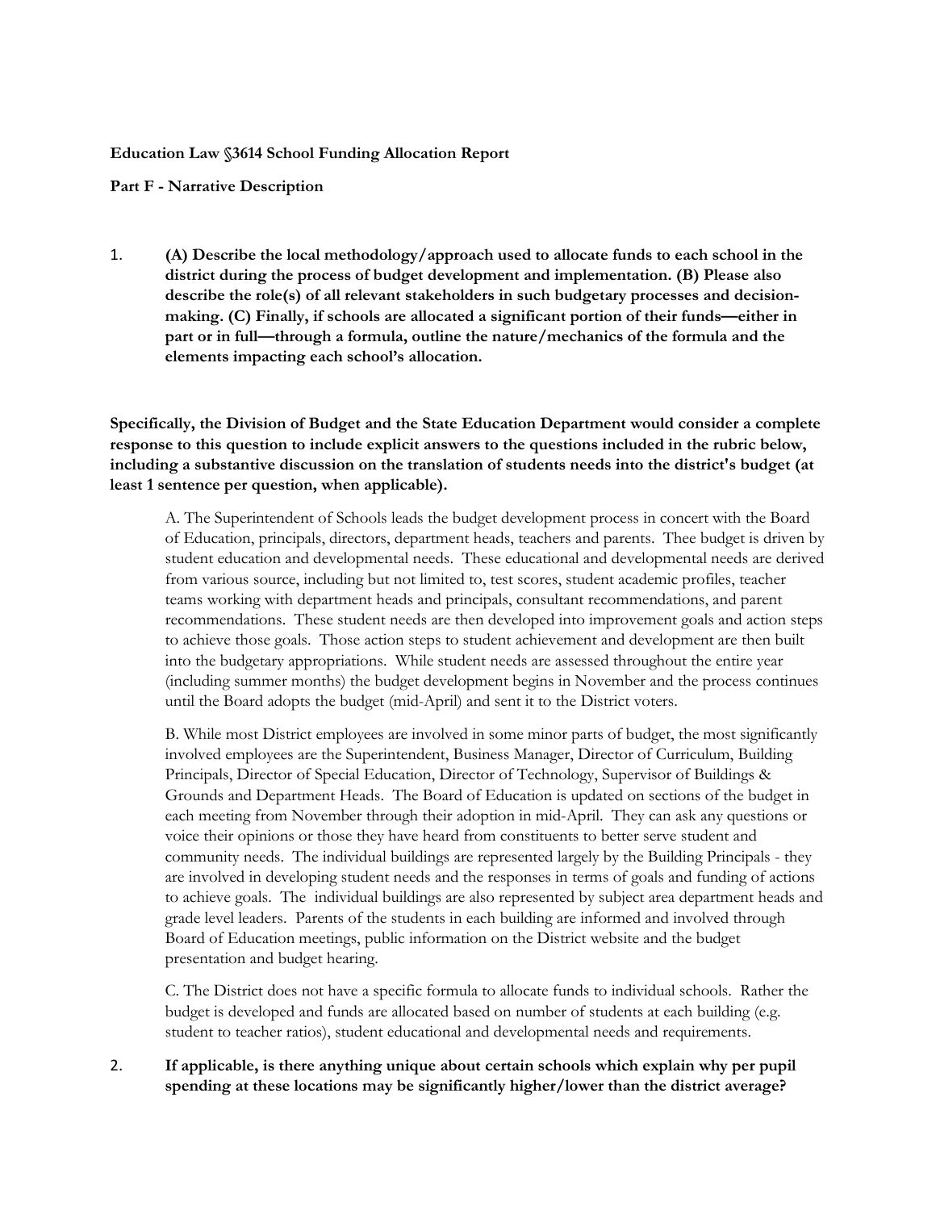### **Education Law §3614 School Funding Allocation Report**

### **Part F - Narrative Description**

1. **(A) Describe the local methodology/approach used to allocate funds to each school in the district during the process of budget development and implementation. (B) Please also describe the role(s) of all relevant stakeholders in such budgetary processes and decisionmaking. (C) Finally, if schools are allocated a significant portion of their funds—either in part or in full—through a formula, outline the nature/mechanics of the formula and the elements impacting each school's allocation.** 

**Specifically, the Division of Budget and the State Education Department would consider a complete response to this question to include explicit answers to the questions included in the rubric below, including a substantive discussion on the translation of students needs into the district's budget (at least 1 sentence per question, when applicable).**

A. The Superintendent of Schools leads the budget development process in concert with the Board of Education, principals, directors, department heads, teachers and parents. Thee budget is driven by student education and developmental needs. These educational and developmental needs are derived from various source, including but not limited to, test scores, student academic profiles, teacher teams working with department heads and principals, consultant recommendations, and parent recommendations. These student needs are then developed into improvement goals and action steps to achieve those goals. Those action steps to student achievement and development are then built into the budgetary appropriations. While student needs are assessed throughout the entire year (including summer months) the budget development begins in November and the process continues until the Board adopts the budget (mid-April) and sent it to the District voters.

B. While most District employees are involved in some minor parts of budget, the most significantly involved employees are the Superintendent, Business Manager, Director of Curriculum, Building Principals, Director of Special Education, Director of Technology, Supervisor of Buildings & Grounds and Department Heads. The Board of Education is updated on sections of the budget in each meeting from November through their adoption in mid-April. They can ask any questions or voice their opinions or those they have heard from constituents to better serve student and community needs. The individual buildings are represented largely by the Building Principals - they are involved in developing student needs and the responses in terms of goals and funding of actions to achieve goals. The individual buildings are also represented by subject area department heads and grade level leaders. Parents of the students in each building are informed and involved through Board of Education meetings, public information on the District website and the budget presentation and budget hearing.

C. The District does not have a specific formula to allocate funds to individual schools. Rather the budget is developed and funds are allocated based on number of students at each building (e.g. student to teacher ratios), student educational and developmental needs and requirements.

2. **If applicable, is there anything unique about certain schools which explain why per pupil spending at these locations may be significantly higher/lower than the district average?**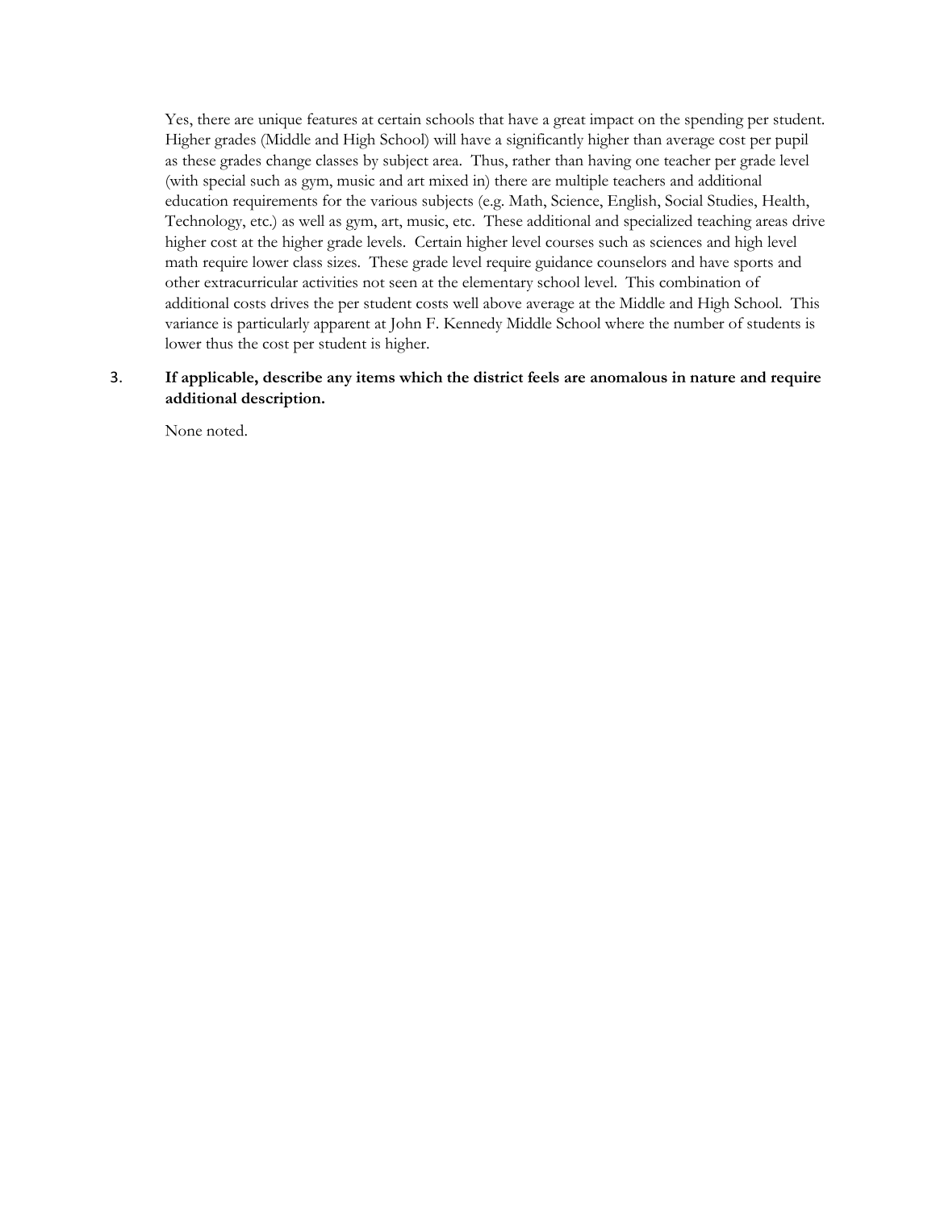Yes, there are unique features at certain schools that have a great impact on the spending per student. Higher grades (Middle and High School) will have a significantly higher than average cost per pupil as these grades change classes by subject area. Thus, rather than having one teacher per grade level (with special such as gym, music and art mixed in) there are multiple teachers and additional education requirements for the various subjects (e.g. Math, Science, English, Social Studies, Health, Technology, etc.) as well as gym, art, music, etc. These additional and specialized teaching areas drive higher cost at the higher grade levels. Certain higher level courses such as sciences and high level math require lower class sizes. These grade level require guidance counselors and have sports and other extracurricular activities not seen at the elementary school level. This combination of additional costs drives the per student costs well above average at the Middle and High School. This variance is particularly apparent at John F. Kennedy Middle School where the number of students is lower thus the cost per student is higher.

## 3. **If applicable, describe any items which the district feels are anomalous in nature and require additional description.**

None noted.